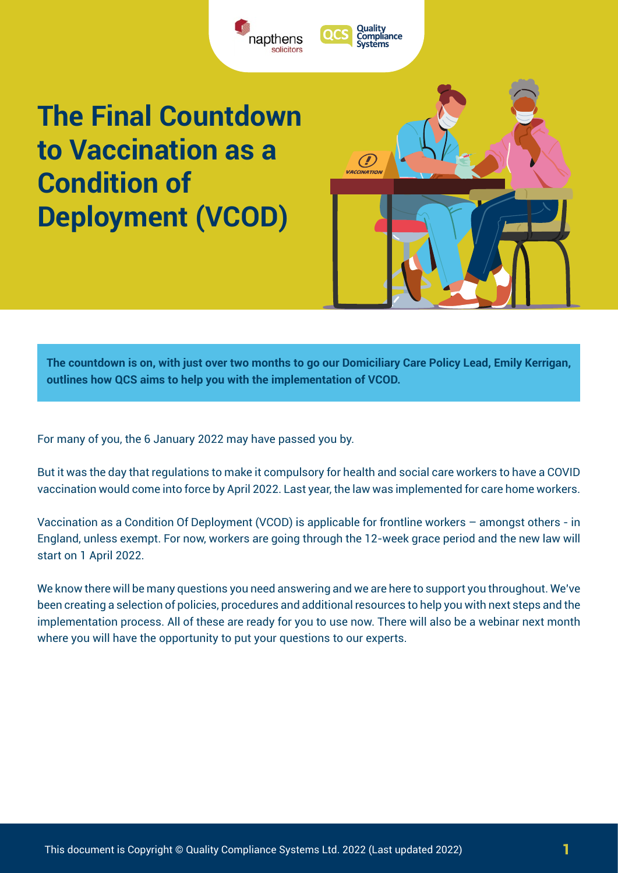

 $\bm{C}$ VACCINATION

# **The Final Countdown to Vaccination as a Condition of Deployment (VCOD)**

**The countdown is on, with just over two months to go our Domiciliary Care Policy Lead, Emily Kerrigan, outlines how QCS aims to help you with the implementation of VCOD.**

For many of you, the 6 January 2022 may have passed you by.

But it was the day that regulations to make it compulsory for health and social care workers to have a COVID vaccination would come into force by April 2022. Last year, the law was implemented for care home workers.

Vaccination as a Condition Of Deployment (VCOD) is applicable for frontline workers – amongst others - in England, unless exempt. For now, workers are going through the 12-week grace period and the new law will start on 1 April 2022.

We know there will be many questions you need answering and we are here to support you throughout. We've been creating a selection of policies, procedures and additional resources to help you with next steps and the implementation process. All of these are ready for you to use now. There will also be a webinar next month where you will have the opportunity to put your questions to our experts.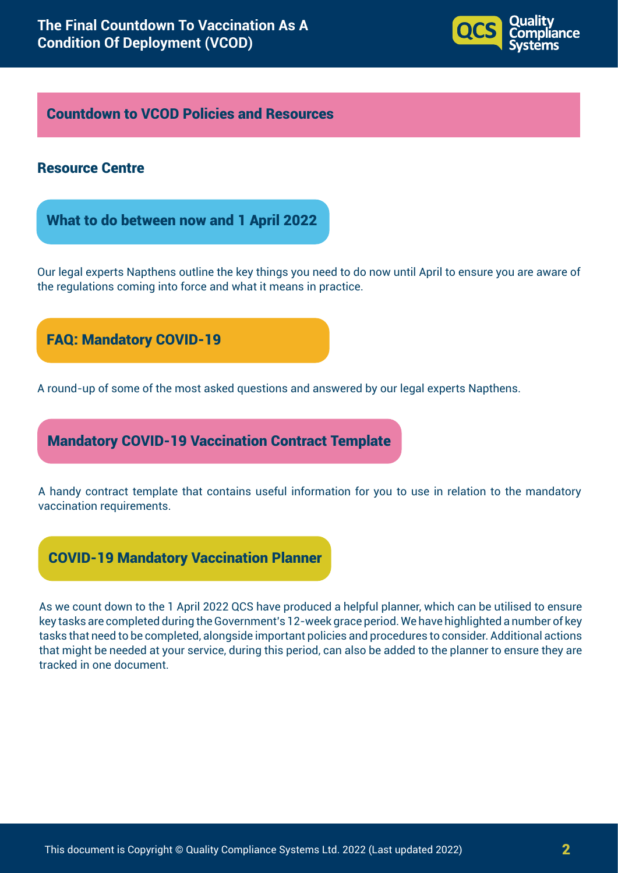

### Countdown to VCOD Policies and Resources

#### Resource Centre

What to do between now and 1 April 2022

Our legal experts Napthens outline the key things you need to do now until April to ensure you are aware of the regulations coming into force and what it means in practice.

# FAQ: Mandatory COVID-19

A round-up of some of the most asked questions and answered by our legal experts Napthens.

# Mandatory COVID-19 Vaccination Contract Template

A handy contract template that contains useful information for you to use in relation to the mandatory vaccination requirements.

# COVID-19 Mandatory Vaccination Planner

As we count down to the 1 April 2022 QCS have produced a helpful planner, which can be utilised to ensure key tasks are completed during the Government's 12-week grace period. We have highlighted a number of key tasks that need to be completed, alongside important policies and procedures to consider. Additional actions that might be needed at your service, during this period, can also be added to the planner to ensure they are tracked in one document.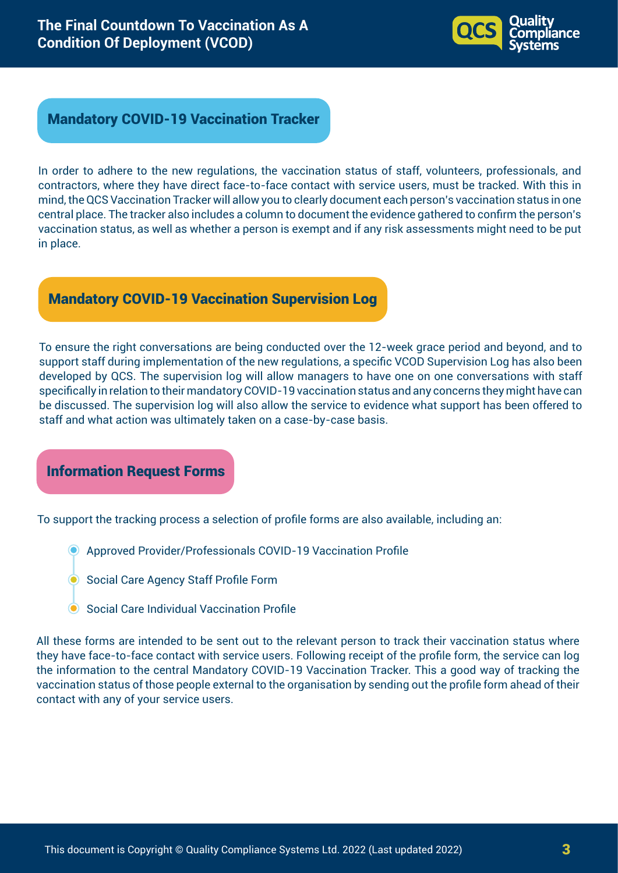

#### Mandatory COVID-19 Vaccination Tracker

In order to adhere to the new regulations, the vaccination status of staff, volunteers, professionals, and contractors, where they have direct face-to-face contact with service users, must be tracked. With this in mind, the QCS Vaccination Tracker will allow you to clearly document each person's vaccination status in one central place. The tracker also includes a column to document the evidence gathered to confirm the person's vaccination status, as well as whether a person is exempt and if any risk assessments might need to be put in place.

# Mandatory COVID-19 Vaccination Supervision Log

To ensure the right conversations are being conducted over the 12-week grace period and beyond, and to support staff during implementation of the new regulations, a specific VCOD Supervision Log has also been developed by QCS. The supervision log will allow managers to have one on one conversations with staff specifically in relation to their mandatory COVID-19 vaccination status and any concerns they might have can be discussed. The supervision log will also allow the service to evidence what support has been offered to staff and what action was ultimately taken on a case-by-case basis.

Information Request Forms

To support the tracking process a selection of profile forms are also available, including an:

- Approved Provider/Professionals COVID-19 Vaccination Profile
- **Social Care Agency Staff Profile Form**
- Social Care Individual Vaccination Profile

All these forms are intended to be sent out to the relevant person to track their vaccination status where they have face-to-face contact with service users. Following receipt of the profile form, the service can log the information to the central Mandatory COVID-19 Vaccination Tracker. This a good way of tracking the vaccination status of those people external to the organisation by sending out the profile form ahead of their contact with any of your service users.